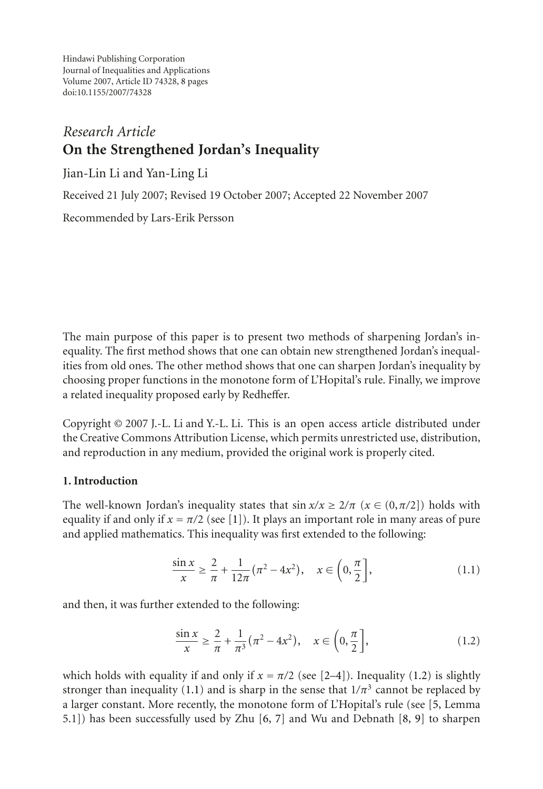Hindawi Publishing Corporation Journal of Inequalities and Applications Volume 2007, Article ID 74328, [8](#page-6-0) pages doi:10.1155/2007/74328

# *Research Article* **On the Strengthened Jordan's Inequality**

Jian-Lin Li and Yan-Ling Li

Received 21 July 2007; Revised 19 October 2007; Accepted 22 November 2007

Recommended by Lars-Erik Persson

The main purpose of this paper is to present two methods of sharpening Jordan's inequality. The first method shows that one can obtain new strengthened Jordan's inequalities from old ones. The other method shows that one can sharpen Jordan's inequality by choosing proper functions in the monotone form of L'Hopital's rule. Finally, we improve a related inequality proposed early by Redheffer.

Copyright © 2007 J.-L. Li and Y.-L. Li. This is an open access article distributed under the Creative Commons Attribution License, which permits unrestricted use, distribution, and reproduction in any medium, provided the original work is properly cited.

# **1. Introduction**

The well-known Jordan's inequality states that  $\sin x/x \geq 2/\pi$  ( $x \in (0,\pi/2)$ ) holds with equality if and only if  $x = \pi/2$  (see [\[1](#page-6-1)]). It plays an important role in many areas of pure and applied mathematics. This inequality was first extended to the following:

<span id="page-0-1"></span>
$$
\frac{\sin x}{x} \ge \frac{2}{\pi} + \frac{1}{12\pi} (\pi^2 - 4x^2), \quad x \in \left(0, \frac{\pi}{2}\right],\tag{1.1}
$$

and then, it was further extended to the following:

<span id="page-0-0"></span>
$$
\frac{\sin x}{x} \ge \frac{2}{\pi} + \frac{1}{\pi^3} (\pi^2 - 4x^2), \quad x \in \left(0, \frac{\pi}{2}\right],\tag{1.2}
$$

which holds with equality if and only if  $x = \pi/2$  (see [\[2](#page-6-2)[–4](#page-6-3)]). Inequality [\(1.2\)](#page-0-0) is slightly stronger than inequality [\(1.1\)](#page-0-1) and is sharp in the sense that  $1/\pi^3$  cannot be replaced by a larger constant. More recently, the monotone form of L'Hopital's rule (see [\[5,](#page-6-4) Lemma 5.1]) has been successfully used by Zhu [\[6](#page-6-5), [7](#page-6-6)] and Wu and Debnath [\[8,](#page-7-0) [9\]](#page-7-1) to sharpen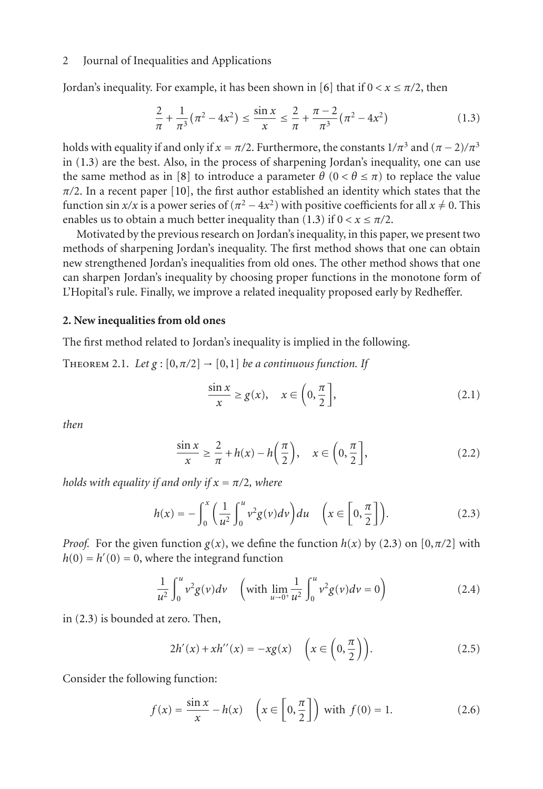### 2 Journal of Inequalities and Applications

Jordan's inequality. For example, it has been shown in [\[6\]](#page-6-5) that if  $0 < x \leq \pi/2$ , then

<span id="page-1-0"></span>
$$
\frac{2}{\pi} + \frac{1}{\pi^3} (\pi^2 - 4x^2) \le \frac{\sin x}{x} \le \frac{2}{\pi} + \frac{\pi - 2}{\pi^3} (\pi^2 - 4x^2)
$$
 (1.3)

holds with equality if and only if  $x = \pi/2$ . Furthermore, the constants  $1/\pi^3$  and  $(\pi - 2)/\pi^3$ in [\(1.3\)](#page-1-0) are the best. Also, in the process of sharpening Jordan's inequality, one can use the same method as in [\[8\]](#page-7-0) to introduce a parameter  $\theta$  ( $0 < \theta \le \pi$ ) to replace the value  $\pi/2$ . In a recent paper [\[10\]](#page-7-2), the first author established an identity which states that the function sin  $x/x$  is a power series of  $(\pi^2 - 4x^2)$  with positive coefficients for all  $x \neq 0$ . This enables us to obtain a much better inequality than [\(1.3\)](#page-1-0) if  $0 < x \leq \pi/2$ .

Motivated by the previous research on Jordan's inequality, in this paper, we present two methods of sharpening Jordan's inequality. The first method shows that one can obtain new strengthened Jordan's inequalities from old ones. The other method shows that one can sharpen Jordan's inequality by choosing proper functions in the monotone form of L'Hopital's rule. Finally, we improve a related inequality proposed early by Redheffer.

# **2. New inequalities from old ones**

<span id="page-1-5"></span>The first method related to Jordan's inequality is implied in the following.

THEOREM 2.1. *Let*  $g : [0, \pi/2] \rightarrow [0,1]$  *be a continuous function. If* 

<span id="page-1-3"></span><span id="page-1-2"></span><span id="page-1-1"></span>
$$
\frac{\sin x}{x} \ge g(x), \quad x \in \left(0, \frac{\pi}{2}\right],\tag{2.1}
$$

*then*

$$
\frac{\sin x}{x} \ge \frac{2}{\pi} + h(x) - h\left(\frac{\pi}{2}\right), \quad x \in \left(0, \frac{\pi}{2}\right],\tag{2.2}
$$

*holds with equality if and only if*  $x = \pi/2$ *, where* 

$$
h(x) = -\int_0^x \left(\frac{1}{u^2} \int_0^u v^2 g(v) dv\right) du \quad \left(x \in \left[0, \frac{\pi}{2}\right]\right).
$$
 (2.3)

*Proof.* For the given function  $g(x)$ , we define the function  $h(x)$  by [\(2.3\)](#page-1-1) on [0, $\pi/2$ ] with  $h(0) = h'(0) = 0$ , where the integrand function

$$
\frac{1}{u^2} \int_0^u v^2 g(v) dv \quad \left(\text{with } \lim_{u \to 0^+} \frac{1}{u^2} \int_0^u v^2 g(v) dv = 0\right) \tag{2.4}
$$

in [\(2.3\)](#page-1-1) is bounded at zero. Then,

<span id="page-1-4"></span>
$$
2h'(x) + xh''(x) = -xg(x) \quad \left(x \in \left(0, \frac{\pi}{2}\right)\right). \tag{2.5}
$$

Consider the following function:

$$
f(x) = \frac{\sin x}{x} - h(x) \quad \left(x \in \left[0, \frac{\pi}{2}\right]\right) \text{ with } f(0) = 1. \tag{2.6}
$$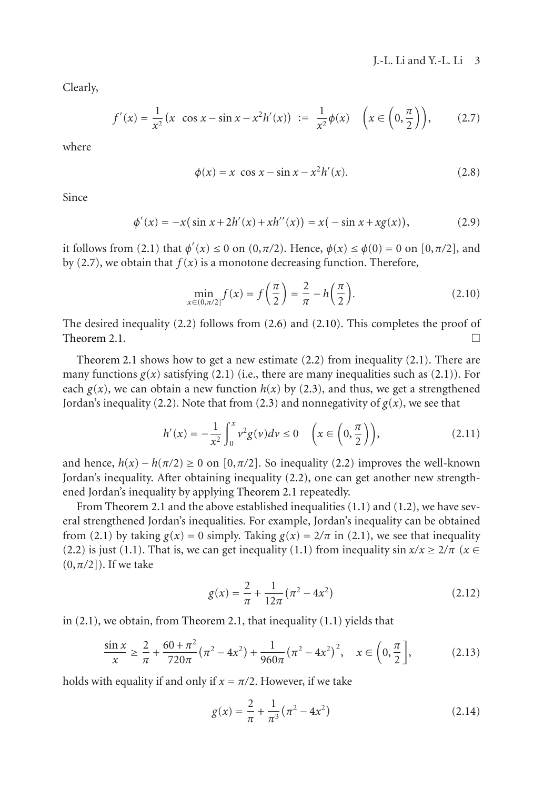Clearly,

$$
f'(x) = \frac{1}{x^2} (x \cos x - \sin x - x^2 h'(x)) := \frac{1}{x^2} \phi(x) \quad \left(x \in \left(0, \frac{\pi}{2}\right)\right), \tag{2.7}
$$

where

<span id="page-2-0"></span>
$$
\phi(x) = x \cos x - \sin x - x^2 h'(x).
$$
 (2.8)

Since

$$
\phi'(x) = -x(\sin x + 2h'(x) + xh''(x)) = x(-\sin x + xg(x)),
$$
\n(2.9)

it follows from [\(2.1\)](#page-1-2) that  $\phi'(x) \le 0$  on  $(0, \pi/2)$ . Hence,  $\phi(x) \le \phi(0) = 0$  on  $[0, \pi/2]$ , and by [\(2.7\)](#page-2-0), we obtain that  $f(x)$  is a monotone decreasing function. Therefore,

<span id="page-2-1"></span>
$$
\min_{x \in (0,\pi/2]} f(x) = f\left(\frac{\pi}{2}\right) = \frac{2}{\pi} - h\left(\frac{\pi}{2}\right).
$$
 (2.10)

The desired inequality [\(2.2\)](#page-1-3) follows from [\(2.6\)](#page-1-4) and [\(2.10\)](#page-2-1). This completes the proof of [Theorem 2.1.](#page-1-5)  $\Box$ 

[Theorem 2.1](#page-1-5) shows how to get a new estimate [\(2.2\)](#page-1-3) from inequality [\(2.1\)](#page-1-2). There are many functions  $g(x)$  satisfying [\(2.1\)](#page-1-2) (i.e., there are many inequalities such as (2.1)). For each  $g(x)$ , we can obtain a new function  $h(x)$  by [\(2.3\)](#page-1-1), and thus, we get a strengthened Jordan's inequality [\(2.2\)](#page-1-3). Note that from [\(2.3\)](#page-1-1) and nonnegativity of  $g(x)$ , we see that

$$
h'(x) = -\frac{1}{x^2} \int_0^x v^2 g(v) dv \le 0 \quad \left(x \in \left(0, \frac{\pi}{2}\right)\right),\tag{2.11}
$$

and hence,  $h(x) - h(\pi/2) \ge 0$  on [0, $\pi/2$ ]. So inequality [\(2.2\)](#page-1-3) improves the well-known Jordan's inequality. After obtaining inequality [\(2.2\)](#page-1-3), one can get another new strengthened Jordan's inequality by applying [Theorem 2.1](#page-1-5) repeatedly.

From [Theorem 2.1](#page-1-5) and the above established inequalities [\(1.1\)](#page-0-1) and [\(1.2\)](#page-0-0), we have several strengthened Jordan's inequalities. For example, Jordan's inequality can be obtained from [\(2.1\)](#page-1-2) by taking  $g(x) = 0$  simply. Taking  $g(x) = 2/\pi$  in (2.1), we see that inequality [\(2.2\)](#page-1-3) is just [\(1.1\)](#page-0-1). That is, we can get inequality (1.1) from inequality  $\sin x/x \ge 2/\pi$  ( $x \in$ (0,*π/*2]). If we take

$$
g(x) = \frac{2}{\pi} + \frac{1}{12\pi} (\pi^2 - 4x^2)
$$
 (2.12)

in [\(2.1\)](#page-1-2), we obtain, from [Theorem 2.1,](#page-1-5) that inequality [\(1.1\)](#page-0-1) yields that

$$
\frac{\sin x}{x} \ge \frac{2}{\pi} + \frac{60 + \pi^2}{720\pi} (\pi^2 - 4x^2) + \frac{1}{960\pi} (\pi^2 - 4x^2)^2, \quad x \in \left(0, \frac{\pi}{2}\right],\tag{2.13}
$$

holds with equality if and only if  $x = \pi/2$ . However, if we take

<span id="page-2-2"></span>
$$
g(x) = \frac{2}{\pi} + \frac{1}{\pi^3} (\pi^2 - 4x^2)
$$
 (2.14)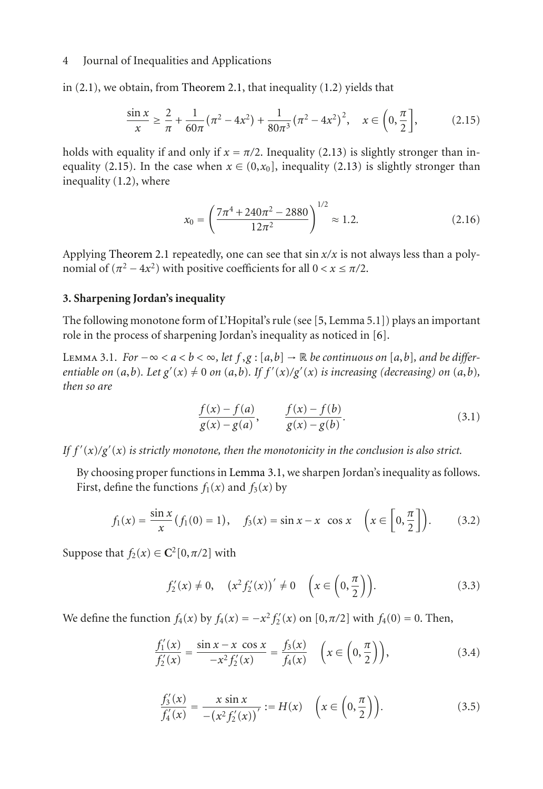### 4 Journal of Inequalities and Applications

in [\(2.1\)](#page-1-2), we obtain, from [Theorem 2.1,](#page-1-5) that inequality [\(1.2\)](#page-0-0) yields that

$$
\frac{\sin x}{x} \ge \frac{2}{\pi} + \frac{1}{60\pi} (\pi^2 - 4x^2) + \frac{1}{80\pi^3} (\pi^2 - 4x^2)^2, \quad x \in \left(0, \frac{\pi}{2}\right],\tag{2.15}
$$

holds with equality if and only if  $x = \pi/2$ . Inequality [\(2.13\)](#page-2-2) is slightly stronger than in-equality [\(2.15\)](#page-3-0). In the case when  $x \in (0, x_0]$ , inequality [\(2.13\)](#page-2-2) is slightly stronger than inequality [\(1.2\)](#page-0-0), where

<span id="page-3-0"></span>
$$
x_0 = \left(\frac{7\pi^4 + 240\pi^2 - 2880}{12\pi^2}\right)^{1/2} \approx 1.2.
$$
 (2.16)

Applying [Theorem 2.1](#page-1-5) repeatedly, one can see that sin *x/x* is not always less than a polynomial of  $(\pi^2 - 4x^2)$  with positive coefficients for all  $0 < x \le \pi/2$ .

#### **3. Sharpening Jordan's inequality**

<span id="page-3-1"></span>The following monotone form of L'Hopital's rule (see [\[5](#page-6-4), Lemma 5.1]) plays an important role in the process of sharpening Jordan's inequality as noticed in [\[6\]](#page-6-5).

LEMMA 3.1. *For*  $-\infty < a < b < \infty$ , let  $f, g : [a, b]$  → R *be continuous on* [a,b], and *be differentiable on*  $(a,b)$ *. Let*  $g'(x) \neq 0$  *on*  $(a,b)$ *. If*  $f'(x)/g'(x)$  *is increasing (decreasing) on*  $(a,b)$ *, then so are*

$$
\frac{f(x) - f(a)}{g(x) - g(a)}, \qquad \frac{f(x) - f(b)}{g(x) - g(b)}.
$$
\n(3.1)

*If f* (*x*)*/g* (*x*) *is strictly monotone, then the monotonicity in the conclusion is also strict.*

By choosing proper functions in [Lemma 3.1,](#page-3-1) we sharpen Jordan's inequality as follows. First, define the functions  $f_1(x)$  and  $f_3(x)$  by

$$
f_1(x) = \frac{\sin x}{x} (f_1(0) = 1), \quad f_3(x) = \sin x - x \cos x \quad \left(x \in \left[0, \frac{\pi}{2}\right]\right). \tag{3.2}
$$

Suppose that  $f_2(x) \in \mathbb{C}^2[0, \pi/2]$  with

<span id="page-3-3"></span><span id="page-3-2"></span>
$$
f'_2(x) \neq 0
$$
,  $(x^2 f'_2(x))' \neq 0$   $\left(x \in \left(0, \frac{\pi}{2}\right)\right)$ . (3.3)

We define the function  $f_4(x)$  by  $f_4(x) = -x^2 f'_2(x)$  on [0,π/2] with  $f_4(0) = 0$ . Then,

$$
\frac{f_1'(x)}{f_2'(x)} = \frac{\sin x - x \cos x}{-x^2 f_2'(x)} = \frac{f_3(x)}{f_4(x)} \quad \left(x \in \left(0, \frac{\pi}{2}\right)\right),\tag{3.4}
$$

$$
\frac{f_3'(x)}{f_4'(x)} = \frac{x \sin x}{-(x^2 f_2'(x))'} := H(x) \quad \left(x \in \left(0, \frac{\pi}{2}\right)\right).
$$
\n(3.5)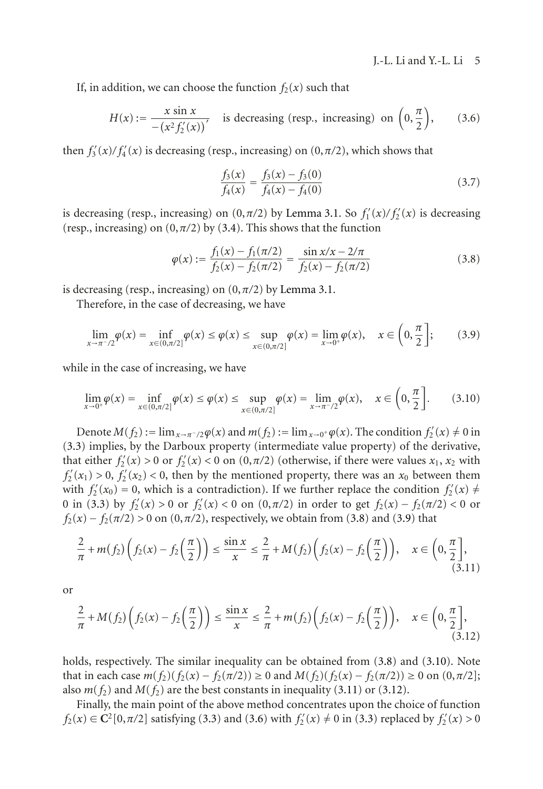If, in addition, we can choose the function  $f_2(x)$  such that

$$
H(x) := \frac{x \sin x}{-(x^2 f_2'(x))'}
$$
 is decreasing (resp., increasing) on  $\left(0, \frac{\pi}{2}\right)$ , (3.6)

then  $f'_{3}(x)/f'_{4}(x)$  is decreasing (resp., increasing) on  $(0, \pi/2)$ , which shows that

<span id="page-4-5"></span><span id="page-4-1"></span><span id="page-4-0"></span>
$$
\frac{f_3(x)}{f_4(x)} = \frac{f_3(x) - f_3(0)}{f_4(x) - f_4(0)}\tag{3.7}
$$

is decreasing (resp., increasing) on  $(0, \pi/2)$  by [Lemma 3.1.](#page-3-1) So  $f'_{1}(x)/f'_{2}(x)$  is decreasing (resp., increasing) on  $(0, \pi/2)$  by [\(3.4\)](#page-3-2). This shows that the function

<span id="page-4-2"></span>
$$
\varphi(x) := \frac{f_1(x) - f_1(\pi/2)}{f_2(x) - f_2(\pi/2)} = \frac{\sin x/x - 2/\pi}{f_2(x) - f_2(\pi/2)}
$$
(3.8)

is decreasing (resp., increasing) on  $(0, \pi/2)$  by [Lemma 3.1.](#page-3-1)

Therefore, in the case of decreasing, we have

$$
\lim_{x \to \pi^{-}/2} \varphi(x) = \inf_{x \in (0, \pi/2]} \varphi(x) \le \varphi(x) \le \sup_{x \in (0, \pi/2]} \varphi(x) = \lim_{x \to 0^{+}} \varphi(x), \quad x \in \left(0, \frac{\pi}{2}\right];
$$
 (3.9)

while in the case of increasing, we have

$$
\lim_{x \to 0^+} \varphi(x) = \inf_{x \in (0, \pi/2]} \varphi(x) \le \varphi(x) \le \sup_{x \in (0, \pi/2]} \varphi(x) = \lim_{x \to \pi/2} \varphi(x), \quad x \in \left(0, \frac{\pi}{2}\right].
$$
 (3.10)

Denote  $M(f_2) := \lim_{x \to \pi^-/2} \varphi(x)$  and  $m(f_2) := \lim_{x \to 0^+} \varphi(x)$ . The condition  $f_2'(x) \neq 0$  in [\(3.3\)](#page-3-3) implies, by the Darboux property (intermediate value property) of the derivative, that either  $f'_{2}(x) > 0$  or  $f'_{2}(x) < 0$  on  $(0, \pi/2)$  (otherwise, if there were values  $x_1, x_2$  with  $f_2'(x_1) > 0$ ,  $f_2'(x_2) < 0$ , then by the mentioned property, there was an  $x_0$  between them with  $f_2'(x_0) = 0$ , which is a contradiction). If we further replace the condition  $f_2'(x) \neq 0$ 0 in [\(3.3\)](#page-3-3) by  $f'_{2}(x) > 0$  or  $f'_{2}(x) < 0$  on  $(0, \pi/2)$  in order to get  $f_{2}(x) - f_{2}(\pi/2) < 0$  or  $f_2(x) - f_2(\pi/2) > 0$  on  $(0, \pi/2)$ , respectively, we obtain from [\(3.8\)](#page-4-0) and [\(3.9\)](#page-4-1) that

<span id="page-4-3"></span>
$$
\frac{2}{\pi} + m(f_2) \left( f_2(x) - f_2\left(\frac{\pi}{2}\right) \right) \le \frac{\sin x}{x} \le \frac{2}{\pi} + M(f_2) \left( f_2(x) - f_2\left(\frac{\pi}{2}\right) \right), \quad x \in \left(0, \frac{\pi}{2}\right],\tag{3.11}
$$

or

<span id="page-4-4"></span>
$$
\frac{2}{\pi} + M(f_2) \left( f_2(x) - f_2\left(\frac{\pi}{2}\right) \right) \le \frac{\sin x}{x} \le \frac{2}{\pi} + m(f_2) \left( f_2(x) - f_2\left(\frac{\pi}{2}\right) \right), \quad x \in \left(0, \frac{\pi}{2}\right],\tag{3.12}
$$

holds, respectively. The similar inequality can be obtained from  $(3.8)$  and  $(3.10)$ . Note that in each case *m*(*f*<sub>2</sub>)(*f*<sub>2</sub>(*x*) − *f*<sub>2</sub>(*π*/2)) ≥ 0 and *M*(*f*<sub>2</sub>)(*f*<sub>2</sub>(*x*) − *f*<sub>2</sub>(*π*/2)) ≥ 0 on (0,*π*/2]; also  $m(f_2)$  and  $M(f_2)$  are the best constants in inequality [\(3.11\)](#page-4-3) or [\(3.12\)](#page-4-4).

Finally, the main point of the above method concentrates upon the choice of function *f*<sub>2</sub>(*x*) ∈ **C**<sup>2</sup>[0,*π*/2] satisfying [\(3.3\)](#page-3-3) and [\(3.6\)](#page-4-5) with *f*<sub>2</sub><sup>'</sup>(*x*) ≠ 0 in (3.3) replaced by *f*<sub>2</sub><sup>'</sup>(*x*) > 0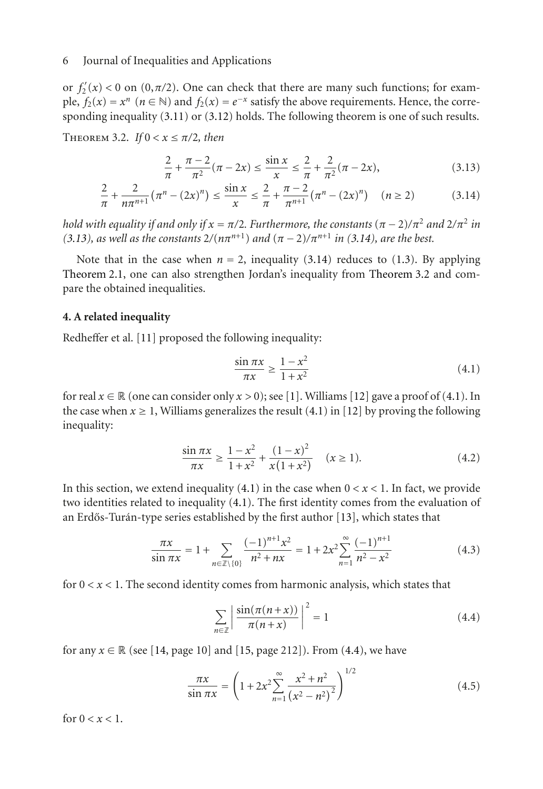#### 6 Journal of Inequalities and Applications

or  $f_2'(x) < 0$  on  $(0, \pi/2)$ . One can check that there are many such functions; for example,  $f_2(x) = x^n$  ( $n \in \mathbb{N}$ ) and  $f_2(x) = e^{-x}$  satisfy the above requirements. Hence, the corresponding inequality [\(3.11\)](#page-4-3) or [\(3.12\)](#page-4-4) holds. The following theorem is one of such results.

<span id="page-5-2"></span>THEOREM 3.2. *If*  $0 < x \leq \pi/2$ , then

<span id="page-5-0"></span>
$$
\frac{2}{\pi} + \frac{\pi - 2}{\pi^2} (\pi - 2x) \le \frac{\sin x}{x} \le \frac{2}{\pi} + \frac{2}{\pi^2} (\pi - 2x),\tag{3.13}
$$

$$
\frac{2}{\pi} + \frac{2}{n\pi^{n+1}} (\pi^n - (2x)^n) \le \frac{\sin x}{x} \le \frac{2}{\pi} + \frac{\pi - 2}{\pi^{n+1}} (\pi^n - (2x)^n) \quad (n \ge 2)
$$
 (3.14)

*hold with equality if and only if*  $x = \pi/2$ *. Furthermore, the constants*  $(\pi - 2)/\pi^2$  *and*  $2/\pi^2$  *in [\(3.13\)](#page-5-0), as well as the constants*  $2/(n\pi^{n+1})$  *and*  $(\pi - 2)/\pi^{n+1}$  *in [\(3.14\)](#page-5-1), are the best.* 

Note that in the case when  $n = 2$ , inequality [\(3.14\)](#page-5-1) reduces to [\(1.3\)](#page-1-0). By applying [Theorem 2.1,](#page-1-5) one can also strengthen Jordan's inequality from [Theorem 3.2](#page-5-2) and compare the obtained inequalities.

# **4. A related inequality**

Redheffer et al. [\[11\]](#page-7-3) proposed the following inequality:

<span id="page-5-3"></span><span id="page-5-1"></span>
$$
\frac{\sin \pi x}{\pi x} \ge \frac{1 - x^2}{1 + x^2} \tag{4.1}
$$

for real  $x \in \mathbb{R}$  (one can consider only  $x > 0$ ); see [\[1\]](#page-6-1). Williams [\[12\]](#page-7-4) gave a proof of [\(4.1\)](#page-5-3). In the case when  $x \ge 1$ , Williams generalizes the result  $(4.1)$  in [\[12\]](#page-7-4) by proving the following inequality:

$$
\frac{\sin \pi x}{\pi x} \ge \frac{1 - x^2}{1 + x^2} + \frac{(1 - x)^2}{x(1 + x^2)} \quad (x \ge 1).
$$
 (4.2)

In this section, we extend inequality  $(4.1)$  in the case when  $0 < x < 1$ . In fact, we provide two identities related to inequality [\(4.1\)](#page-5-3). The first identity comes from the evaluation of an Erdős-Turán-type series established by the first author  $[13]$  $[13]$  $[13]$ , which states that

$$
\frac{\pi x}{\sin \pi x} = 1 + \sum_{n \in \mathbb{Z} \setminus \{0\}} \frac{(-1)^{n+1} x^2}{n^2 + nx} = 1 + 2x^2 \sum_{n=1}^{\infty} \frac{(-1)^{n+1}}{n^2 - x^2}
$$
(4.3)

for  $0 < x < 1$ . The second identity comes from harmonic analysis, which states that

<span id="page-5-6"></span><span id="page-5-5"></span><span id="page-5-4"></span>
$$
\sum_{n\in\mathbb{Z}} \left| \frac{\sin(\pi(n+x))}{\pi(n+x)} \right|^2 = 1 \tag{4.4}
$$

for any  $x \in \mathbb{R}$  (see [\[14,](#page-7-6) page 10] and [\[15](#page-7-7), page 212]). From [\(4.4\)](#page-5-4), we have

$$
\frac{\pi x}{\sin \pi x} = \left(1 + 2x^2 \sum_{n=1}^{\infty} \frac{x^2 + n^2}{\left(x^2 - n^2\right)^2}\right)^{1/2} \tag{4.5}
$$

for  $0 < x < 1$ .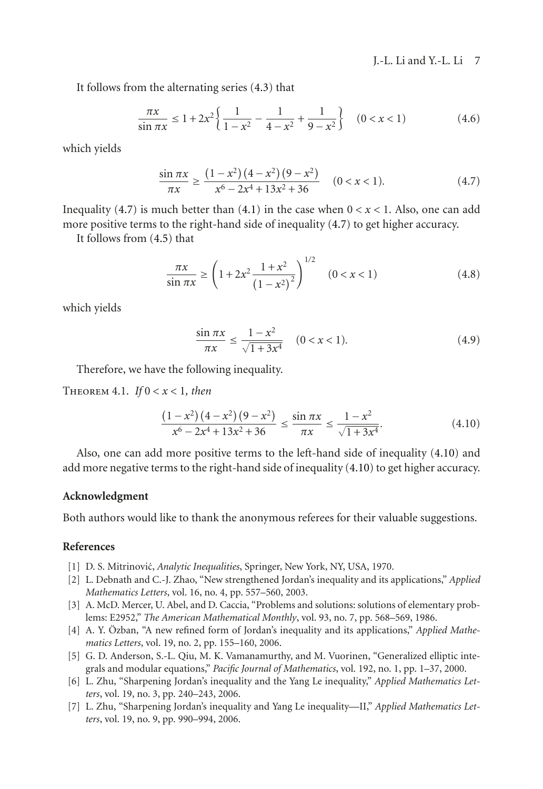<span id="page-6-7"></span>J.-L. Li and Y.-L. Li 7

It follows from the alternating series [\(4.3\)](#page-5-5) that

$$
\frac{\pi x}{\sin \pi x} \le 1 + 2x^2 \left\{ \frac{1}{1 - x^2} - \frac{1}{4 - x^2} + \frac{1}{9 - x^2} \right\} \quad (0 < x < 1) \tag{4.6}
$$

which yields

$$
\frac{\sin \pi x}{\pi x} \ge \frac{\left(1 - x^2\right)\left(4 - x^2\right)\left(9 - x^2\right)}{x^6 - 2x^4 + 13x^2 + 36} \quad (0 < x < 1). \tag{4.7}
$$

Inequality [\(4.7\)](#page-6-7) is much better than  $(4.1)$  in the case when  $0 < x < 1$ . Also, one can add more positive terms to the right-hand side of inequality [\(4.7\)](#page-6-7) to get higher accuracy.

It follows from [\(4.5\)](#page-5-6) that

$$
\frac{\pi x}{\sin \pi x} \ge \left(1 + 2x^2 \frac{1 + x^2}{\left(1 - x^2\right)^2}\right)^{1/2} \quad (0 < x < 1) \tag{4.8}
$$

which yields

<span id="page-6-8"></span>
$$
\frac{\sin \pi x}{\pi x} \le \frac{1 - x^2}{\sqrt{1 + 3x^4}} \quad (0 < x < 1). \tag{4.9}
$$

Therefore, we have the following inequality.

THEOREM 4.1. *If*  $0 < x < 1$ *, then* 

$$
\frac{\left(1-x^2\right)\left(4-x^2\right)\left(9-x^2\right)}{x^6 - 2x^4 + 13x^2 + 36} \le \frac{\sin \pi x}{\pi x} \le \frac{1-x^2}{\sqrt{1+3x^4}}.\tag{4.10}
$$

Also, one can add more positive terms to the left-hand side of inequality [\(4.10\)](#page-6-8) and add more negative terms to the right-hand side of inequality [\(4.10\)](#page-6-8) to get higher accuracy.

# **Acknowledgment**

Both authors would like to thank the anonymous referees for their valuable suggestions.

### <span id="page-6-0"></span>**References**

- <span id="page-6-1"></span>[1] D. S. Mitrinović, *Analytic Inequalities*, Springer, New York, NY, USA, 1970.
- <span id="page-6-2"></span>[2] L. Debnath and C.-J. Zhao, "New strengthened Jordan's inequality and its applications," *Applied Mathematics Letters*, vol. 16, no. 4, pp. 557–560, 2003.
- [3] A. McD. Mercer, U. Abel, and D. Caccia, "Problems and solutions: solutions of elementary problems: E2952," *The American Mathematical Monthly*, vol. 93, no. 7, pp. 568–569, 1986.
- <span id="page-6-3"></span>[4] A. Y. Özban, "A new refined form of Jordan's inequality and its applications," *Applied Mathematics Letters*, vol. 19, no. 2, pp. 155–160, 2006.
- <span id="page-6-4"></span>[5] G. D. Anderson, S.-L. Qiu, M. K. Vamanamurthy, and M. Vuorinen, "Generalized elliptic integrals and modular equations," *Pacific Journal of Mathematics*, vol. 192, no. 1, pp. 1–37, 2000.
- <span id="page-6-5"></span>[6] L. Zhu, "Sharpening Jordan's inequality and the Yang Le inequality," *Applied Mathematics Letters*, vol. 19, no. 3, pp. 240–243, 2006.
- <span id="page-6-6"></span>[7] L. Zhu, "Sharpening Jordan's inequality and Yang Le inequality—II," *Applied Mathematics Letters*, vol. 19, no. 9, pp. 990–994, 2006.